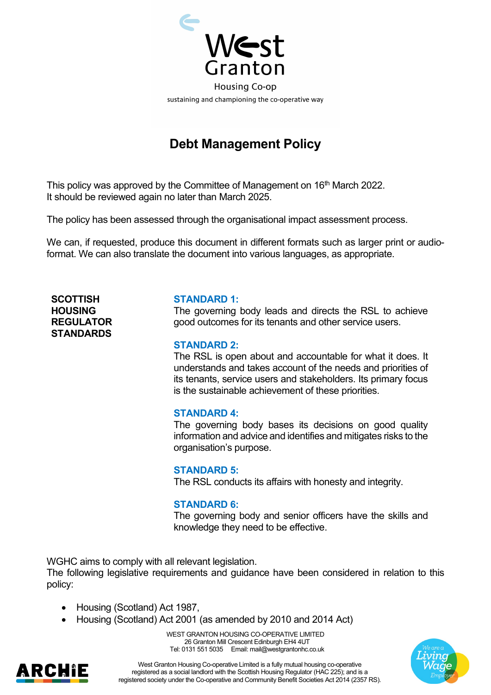

# **Debt Management Policy**

This policy was approved by the Committee of Management on 16<sup>th</sup> March 2022. It should be reviewed again no later than March 2025.

The policy has been assessed through the organisational impact assessment process.

We can, if requested, produce this document in different formats such as larger print or audioformat. We can also translate the document into various languages, as appropriate.

**SCOTTISH HOUSING REGULATOR STANDARDS**

#### **STANDARD 1:**

The governing body leads and directs the RSL to achieve good outcomes for its tenants and other service users.

#### **STANDARD 2:**

The RSL is open about and accountable for what it does. It understands and takes account of the needs and priorities of its tenants, service users and stakeholders. Its primary focus is the sustainable achievement of these priorities.

#### **STANDARD 4:**

The governing body bases its decisions on good quality information and advice and identifies and mitigates risks to the organisation's purpose.

#### **STANDARD 5:**

The RSL conducts its affairs with honesty and integrity.

#### **STANDARD 6:**

The governing body and senior officers have the skills and knowledge they need to be effective.

WGHC aims to comply with all relevant legislation.

The following legislative requirements and guidance have been considered in relation to this policy:

- Housing (Scotland) Act 1987,
- Housing (Scotland) Act 2001 (as amended by 2010 and 2014 Act)

WEST GRANTON HOUSING CO-OPERATIVE LIMITED 26 Granton Mill Crescent Edinburgh EH4 4UT Tel: 0131 551 5035 Email: mail@westgrantonhc.co.uk



West Granton Housing Co-operative Limited is a fully mutual housing co-operative registered as a social landlord with the Scottish Housing Regulator (HAC 225); and is a registered society under the Co-operative and Community Benefit Societies Act 2014 (2357 RS).

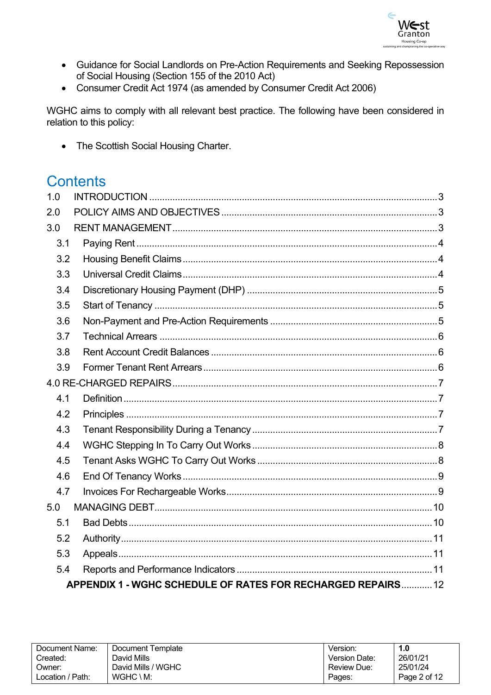

- Guidance for Social Landlords on Pre-Action Requirements and Seeking Repossession of Social Housing (Section 155 of the 2010 Act)
- Consumer Credit Act 1974 (as amended by Consumer Credit Act 2006)

WGHC aims to comply with all relevant best practice. The following have been considered in relation to this policy:

• The Scottish Social Housing Charter.

# **Contents**

| 1.0 |                                                              |  |
|-----|--------------------------------------------------------------|--|
| 2.0 |                                                              |  |
| 3.0 |                                                              |  |
| 3.1 |                                                              |  |
| 3.2 |                                                              |  |
| 3.3 |                                                              |  |
| 3.4 |                                                              |  |
| 3.5 |                                                              |  |
| 3.6 |                                                              |  |
| 3.7 |                                                              |  |
| 3.8 |                                                              |  |
| 3.9 |                                                              |  |
|     |                                                              |  |
| 4.1 |                                                              |  |
| 4.2 |                                                              |  |
| 4.3 |                                                              |  |
| 4.4 |                                                              |  |
| 4.5 |                                                              |  |
| 4.6 |                                                              |  |
| 4.7 |                                                              |  |
| 5.0 |                                                              |  |
| 5.1 |                                                              |  |
| 5.2 |                                                              |  |
| 5.3 |                                                              |  |
| 5.4 |                                                              |  |
|     | APPENDIX 1 - WGHC SCHEDULE OF RATES FOR RECHARGED REPAIRS 12 |  |

| Document Name:   | Document Template  | Version:      | 1.0          |
|------------------|--------------------|---------------|--------------|
| Created:         | David Mills        | Version Date: | 26/01/21     |
| Owner:           | David Mills / WGHC | Review Due:   | 25/01/24     |
| Location / Path: | WGHC \ M:          | Pages:        | Page 2 of 12 |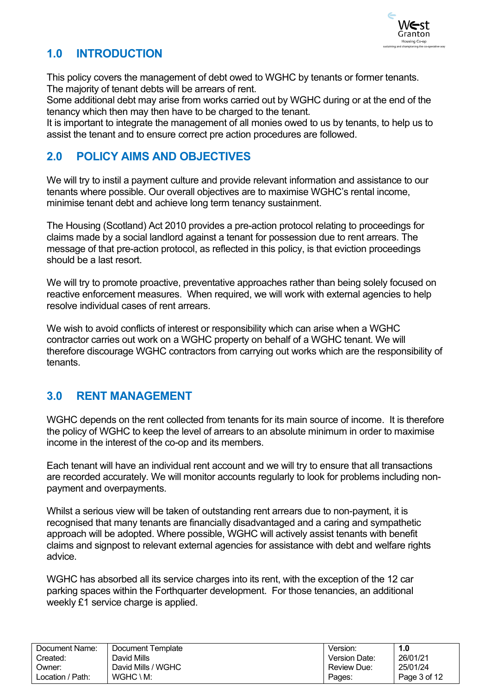

# <span id="page-2-0"></span>**1.0 INTRODUCTION**

This policy covers the management of debt owed to WGHC by tenants or former tenants. The majority of tenant debts will be arrears of rent.

Some additional debt may arise from works carried out by WGHC during or at the end of the tenancy which then may then have to be charged to the tenant.

It is important to integrate the management of all monies owed to us by tenants, to help us to assist the tenant and to ensure correct pre action procedures are followed.

## <span id="page-2-1"></span>**2.0 POLICY AIMS AND OBJECTIVES**

We will try to instil a payment culture and provide relevant information and assistance to our tenants where possible. Our overall objectives are to maximise WGHC's rental income, minimise tenant debt and achieve long term tenancy sustainment.

The Housing (Scotland) Act 2010 provides a pre-action protocol relating to proceedings for claims made by a social landlord against a tenant for possession due to rent arrears. The message of that pre-action protocol, as reflected in this policy, is that eviction proceedings should be a last resort.

We will try to promote proactive, preventative approaches rather than being solely focused on reactive enforcement measures. When required, we will work with external agencies to help resolve individual cases of rent arrears.

We wish to avoid conflicts of interest or responsibility which can arise when a WGHC contractor carries out work on a WGHC property on behalf of a WGHC tenant. We will therefore discourage WGHC contractors from carrying out works which are the responsibility of tenants.

## <span id="page-2-2"></span>**3.0 RENT MANAGEMENT**

WGHC depends on the rent collected from tenants for its main source of income. It is therefore the policy of WGHC to keep the level of arrears to an absolute minimum in order to maximise income in the interest of the co-op and its members.

Each tenant will have an individual rent account and we will try to ensure that all transactions are recorded accurately. We will monitor accounts regularly to look for problems including nonpayment and overpayments.

Whilst a serious view will be taken of outstanding rent arrears due to non-payment, it is recognised that many tenants are financially disadvantaged and a caring and sympathetic approach will be adopted. Where possible, WGHC will actively assist tenants with benefit claims and signpost to relevant external agencies for assistance with debt and welfare rights advice.

WGHC has absorbed all its service charges into its rent, with the exception of the 12 car parking spaces within the Forthquarter development. For those tenancies, an additional weekly £1 service charge is applied.

| Document Name:   | Document Template    | Version:           | 1.0          |
|------------------|----------------------|--------------------|--------------|
| Created:         | David Mills          | Version Date:      | 26/01/21     |
| Owner:           | David Mills / WGHC   | <b>Review Due:</b> | 25/01/24     |
| Location / Path: | $WGHC \setminus M$ : | Pages:             | Page 3 of 12 |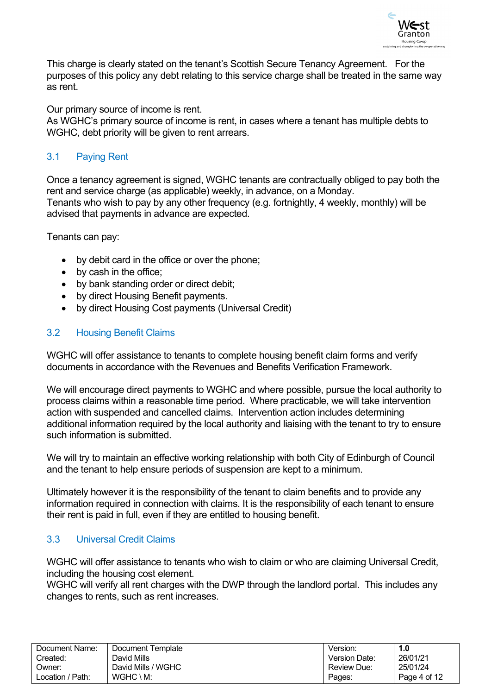

This charge is clearly stated on the tenant's Scottish Secure Tenancy Agreement. For the purposes of this policy any debt relating to this service charge shall be treated in the same way as rent.

Our primary source of income is rent.

As WGHC's primary source of income is rent, in cases where a tenant has multiple debts to WGHC, debt priority will be given to rent arrears.

#### <span id="page-3-0"></span>3.1 Paying Rent

Once a tenancy agreement is signed, WGHC tenants are contractually obliged to pay both the rent and service charge (as applicable) weekly, in advance, on a Monday. Tenants who wish to pay by any other frequency (e.g. fortnightly, 4 weekly, monthly) will be advised that payments in advance are expected.

Tenants can pay:

- by debit card in the office or over the phone;
- by cash in the office;
- by bank standing order or direct debit;
- by direct Housing Benefit payments.
- by direct Housing Cost payments (Universal Credit)

#### <span id="page-3-1"></span>3.2 Housing Benefit Claims

WGHC will offer assistance to tenants to complete housing benefit claim forms and verify documents in accordance with the Revenues and Benefits Verification Framework.

We will encourage direct payments to WGHC and where possible, pursue the local authority to process claims within a reasonable time period. Where practicable, we will take intervention action with suspended and cancelled claims. Intervention action includes determining additional information required by the local authority and liaising with the tenant to try to ensure such information is submitted.

We will try to maintain an effective working relationship with both City of Edinburgh of Council and the tenant to help ensure periods of suspension are kept to a minimum.

Ultimately however it is the responsibility of the tenant to claim benefits and to provide any information required in connection with claims. It is the responsibility of each tenant to ensure their rent is paid in full, even if they are entitled to housing benefit.

#### <span id="page-3-2"></span>3.3 Universal Credit Claims

WGHC will offer assistance to tenants who wish to claim or who are claiming Universal Credit, including the housing cost element.

WGHC will verify all rent charges with the DWP through the landlord portal. This includes any changes to rents, such as rent increases.

| Document Name:   | Document Template    | Version:           | 1.0          |
|------------------|----------------------|--------------------|--------------|
| Created:         | David Mills          | Version Date:      | 26/01/21     |
| Owner:           | David Mills / WGHC   | <b>Review Due:</b> | 25/01/24     |
| Location / Path: | $WGHC \setminus M$ : | Pages:             | Page 4 of 12 |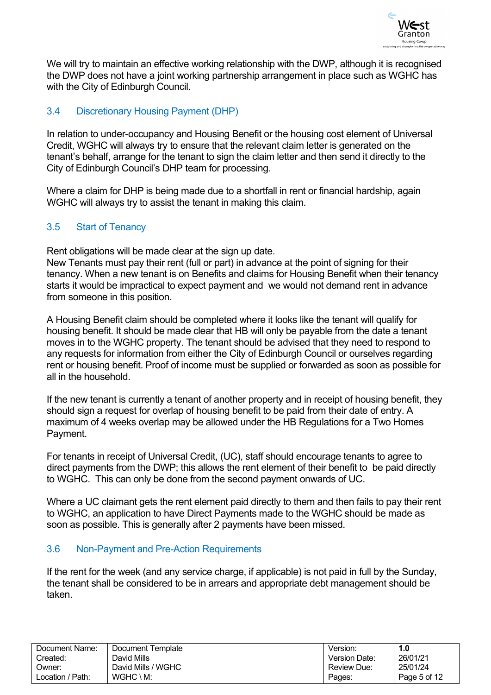

We will try to maintain an effective working relationship with the DWP, although it is recognised the DWP does not have a joint working partnership arrangement in place such as WGHC has with the City of Edinburgh Council.

#### <span id="page-4-0"></span>3.4 Discretionary Housing Payment (DHP)

In relation to under-occupancy and Housing Benefit or the housing cost element of Universal Credit, WGHC will always try to ensure that the relevant claim letter is generated on the tenant's behalf, arrange for the tenant to sign the claim letter and then send it directly to the City of Edinburgh Council's DHP team for processing.

Where a claim for DHP is being made due to a shortfall in rent or financial hardship, again WGHC will always try to assist the tenant in making this claim.

#### <span id="page-4-1"></span>3.5 Start of Tenancy

Rent obligations will be made clear at the sign up date.

New Tenants must pay their rent (full or part) in advance at the point of signing for their tenancy. When a new tenant is on Benefits and claims for Housing Benefit when their tenancy starts it would be impractical to expect payment and we would not demand rent in advance from someone in this position.

A Housing Benefit claim should be completed where it looks like the tenant will qualify for housing benefit. It should be made clear that HB will only be payable from the date a tenant moves in to the WGHC property. The tenant should be advised that they need to respond to any requests for information from either the City of Edinburgh Council or ourselves regarding rent or housing benefit. Proof of income must be supplied or forwarded as soon as possible for all in the household.

If the new tenant is currently a tenant of another property and in receipt of housing benefit, they should sign a request for overlap of housing benefit to be paid from their date of entry. A maximum of 4 weeks overlap may be allowed under the HB Regulations for a Two Homes Payment.

For tenants in receipt of Universal Credit, (UC), staff should encourage tenants to agree to direct payments from the DWP; this allows the rent element of their benefit to be paid directly to WGHC. This can only be done from the second payment onwards of UC.

Where a UC claimant gets the rent element paid directly to them and then fails to pay their rent to WGHC, an application to have Direct Payments made to the WGHC should be made as soon as possible. This is generally after 2 payments have been missed.

#### <span id="page-4-2"></span>3.6 Non-Payment and Pre-Action Requirements

If the rent for the week (and any service charge, if applicable) is not paid in full by the Sunday, the tenant shall be considered to be in arrears and appropriate debt management should be taken.

| Document Name:   | Document Template    | Version.      | 1.0          |
|------------------|----------------------|---------------|--------------|
| Created:         | David Mills          | Version Date: | 26/01/21     |
| Dwner:           | David Mills / WGHC   | Review Due:   | 25/01/24     |
| Location / Path: | $WGHC \setminus M$ : | Pages:        | Page 5 of 12 |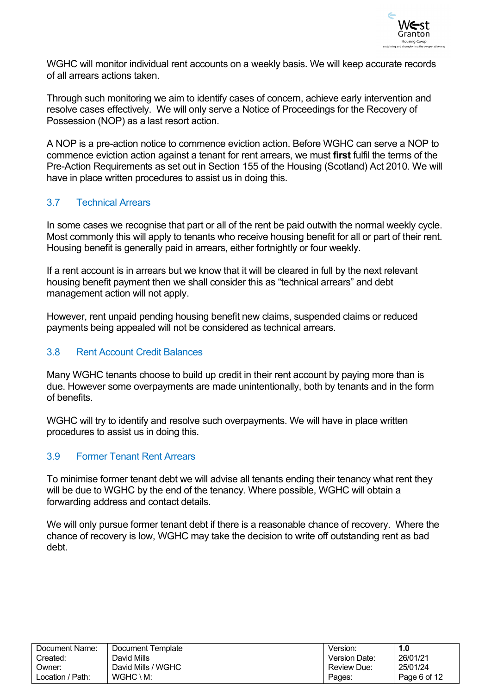

WGHC will monitor individual rent accounts on a weekly basis. We will keep accurate records of all arrears actions taken.

Through such monitoring we aim to identify cases of concern, achieve early intervention and resolve cases effectively. We will only serve a Notice of Proceedings for the Recovery of Possession (NOP) as a last resort action.

A NOP is a pre-action notice to commence eviction action. Before WGHC can serve a NOP to commence eviction action against a tenant for rent arrears, we must **first** fulfil the terms of the Pre-Action Requirements as set out in Section 155 of the Housing (Scotland) Act 2010. We will have in place written procedures to assist us in doing this.

#### <span id="page-5-0"></span>3.7 Technical Arrears

In some cases we recognise that part or all of the rent be paid outwith the normal weekly cycle. Most commonly this will apply to tenants who receive housing benefit for all or part of their rent. Housing benefit is generally paid in arrears, either fortnightly or four weekly.

If a rent account is in arrears but we know that it will be cleared in full by the next relevant housing benefit payment then we shall consider this as "technical arrears" and debt management action will not apply.

However, rent unpaid pending housing benefit new claims, suspended claims or reduced payments being appealed will not be considered as technical arrears.

#### <span id="page-5-1"></span>3.8 Rent Account Credit Balances

Many WGHC tenants choose to build up credit in their rent account by paying more than is due. However some overpayments are made unintentionally, both by tenants and in the form of benefits.

WGHC will try to identify and resolve such overpayments. We will have in place written procedures to assist us in doing this.

#### <span id="page-5-2"></span>3.9 Former Tenant Rent Arrears

To minimise former tenant debt we will advise all tenants ending their tenancy what rent they will be due to WGHC by the end of the tenancy. Where possible, WGHC will obtain a forwarding address and contact details.

We will only pursue former tenant debt if there is a reasonable chance of recovery. Where the chance of recovery is low, WGHC may take the decision to write off outstanding rent as bad debt.

| Document Name:   | Document Template    | Version:      | 1.0          |
|------------------|----------------------|---------------|--------------|
| Created:         | David Mills          | Version Date: | 26/01/21     |
| Owner:           | David Mills / WGHC   | Review Due:   | 25/01/24     |
| Location / Path: | $WGHC \setminus M$ : | Pages:        | Page 6 of 12 |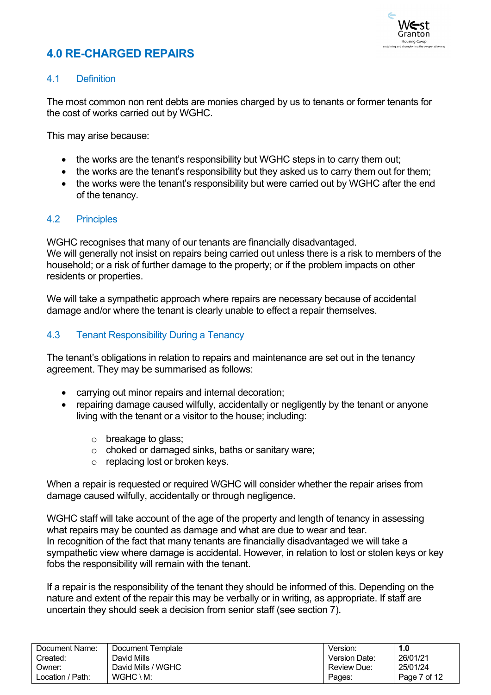

# <span id="page-6-0"></span>**4.0 RE-CHARGED REPAIRS**

#### <span id="page-6-1"></span>4.1 Definition

The most common non rent debts are monies charged by us to tenants or former tenants for the cost of works carried out by WGHC.

This may arise because:

- the works are the tenant's responsibility but WGHC steps in to carry them out;
- the works are the tenant's responsibility but they asked us to carry them out for them;
- the works were the tenant's responsibility but were carried out by WGHC after the end of the tenancy.

#### <span id="page-6-2"></span>4.2 Principles

WGHC recognises that many of our tenants are financially disadvantaged. We will generally not insist on repairs being carried out unless there is a risk to members of the household; or a risk of further damage to the property; or if the problem impacts on other residents or properties.

We will take a sympathetic approach where repairs are necessary because of accidental damage and/or where the tenant is clearly unable to effect a repair themselves.

#### <span id="page-6-3"></span>4.3 Tenant Responsibility During a Tenancy

The tenant's obligations in relation to repairs and maintenance are set out in the tenancy agreement. They may be summarised as follows:

- carrying out minor repairs and internal decoration;
- repairing damage caused wilfully, accidentally or negligently by the tenant or anyone living with the tenant or a visitor to the house; including:
	- o breakage to glass:
	- o choked or damaged sinks, baths or sanitary ware;
	- o replacing lost or broken keys.

When a repair is requested or required WGHC will consider whether the repair arises from damage caused wilfully, accidentally or through negligence.

WGHC staff will take account of the age of the property and length of tenancy in assessing what repairs may be counted as damage and what are due to wear and tear. In recognition of the fact that many tenants are financially disadvantaged we will take a sympathetic view where damage is accidental. However, in relation to lost or stolen keys or key fobs the responsibility will remain with the tenant.

If a repair is the responsibility of the tenant they should be informed of this. Depending on the nature and extent of the repair this may be verbally or in writing, as appropriate. If staff are uncertain they should seek a decision from senior staff (see section 7).

| Document Name:   | Document Template    | Version.      | 1.0          |
|------------------|----------------------|---------------|--------------|
| Created:         | David Mills          | Version Date: | 26/01/21     |
| Owner:           | David Mills / WGHC   | Review Due:   | 25/01/24     |
| Location / Path: | $WGHC \setminus M$ : | Pages:        | Page 7 of 12 |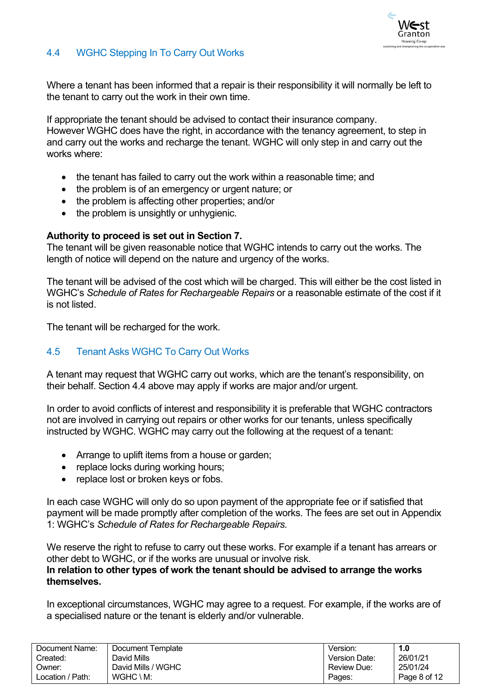

#### <span id="page-7-0"></span>4.4 WGHC Stepping In To Carry Out Works

Where a tenant has been informed that a repair is their responsibility it will normally be left to the tenant to carry out the work in their own time.

If appropriate the tenant should be advised to contact their insurance company. However WGHC does have the right, in accordance with the tenancy agreement, to step in and carry out the works and recharge the tenant. WGHC will only step in and carry out the works where:

- the tenant has failed to carry out the work within a reasonable time; and
- the problem is of an emergency or urgent nature; or
- the problem is affecting other properties; and/or
- the problem is unsightly or unhygienic.

#### **Authority to proceed is set out in Section 7.**

The tenant will be given reasonable notice that WGHC intends to carry out the works. The length of notice will depend on the nature and urgency of the works.

The tenant will be advised of the cost which will be charged. This will either be the cost listed in WGHC's *Schedule of Rates for Rechargeable Repairs* or a reasonable estimate of the cost if it is not listed.

The tenant will be recharged for the work.

#### <span id="page-7-1"></span>4.5 Tenant Asks WGHC To Carry Out Works

A tenant may request that WGHC carry out works, which are the tenant's responsibility, on their behalf. Section 4.4 above may apply if works are major and/or urgent.

In order to avoid conflicts of interest and responsibility it is preferable that WGHC contractors not are involved in carrying out repairs or other works for our tenants, unless specifically instructed by WGHC. WGHC may carry out the following at the request of a tenant:

- Arrange to uplift items from a house or garden;
- replace locks during working hours;
- replace lost or broken keys or fobs.

In each case WGHC will only do so upon payment of the appropriate fee or if satisfied that payment will be made promptly after completion of the works. The fees are set out in Appendix 1: WGHC's *Schedule of Rates for Rechargeable Repairs.*

We reserve the right to refuse to carry out these works. For example if a tenant has arrears or other debt to WGHC, or if the works are unusual or involve risk.

#### **In relation to other types of work the tenant should be advised to arrange the works themselves.**

In exceptional circumstances, WGHC may agree to a request. For example, if the works are of a specialised nature or the tenant is elderly and/or vulnerable.

| Document Name:   | Document Template  | Version.      | 1.0          |
|------------------|--------------------|---------------|--------------|
| Created:         | David Mills        | Version Date: | 26/01/21     |
| Owner:           | David Mills / WGHC | Review Due:   | 25/01/24     |
| Location / Path: | WGHC \ M:          | Pages:        | Page 8 of 12 |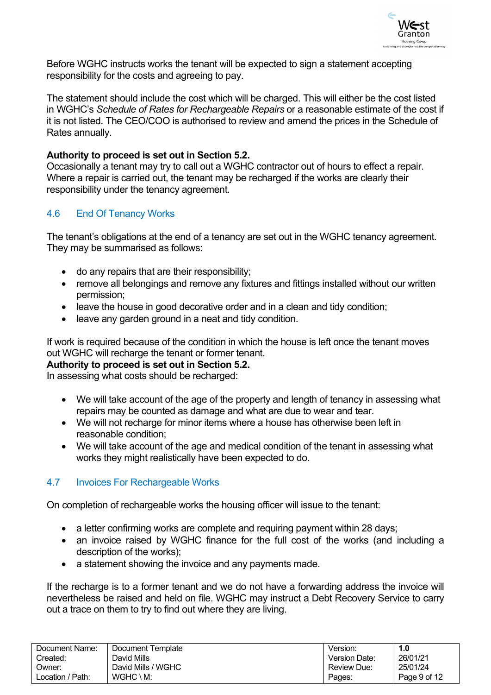

Before WGHC instructs works the tenant will be expected to sign a statement accepting responsibility for the costs and agreeing to pay.

The statement should include the cost which will be charged. This will either be the cost listed in WGHC's *Schedule of Rates for Rechargeable Repairs* or a reasonable estimate of the cost if it is not listed. The CEO/COO is authorised to review and amend the prices in the Schedule of Rates annually.

#### **Authority to proceed is set out in Section 5.2.**

Occasionally a tenant may try to call out a WGHC contractor out of hours to effect a repair. Where a repair is carried out, the tenant may be recharged if the works are clearly their responsibility under the tenancy agreement.

#### <span id="page-8-0"></span>4.6 End Of Tenancy Works

The tenant's obligations at the end of a tenancy are set out in the WGHC tenancy agreement. They may be summarised as follows:

- do any repairs that are their responsibility;
- remove all belongings and remove any fixtures and fittings installed without our written permission;
- leave the house in good decorative order and in a clean and tidy condition:
- leave any garden ground in a neat and tidy condition.

If work is required because of the condition in which the house is left once the tenant moves out WGHC will recharge the tenant or former tenant.

#### **Authority to proceed is set out in Section 5.2.**

In assessing what costs should be recharged:

- We will take account of the age of the property and length of tenancy in assessing what repairs may be counted as damage and what are due to wear and tear.
- We will not recharge for minor items where a house has otherwise been left in reasonable condition;
- We will take account of the age and medical condition of the tenant in assessing what works they might realistically have been expected to do.

#### <span id="page-8-1"></span>4.7 Invoices For Rechargeable Works

On completion of rechargeable works the housing officer will issue to the tenant:

- a letter confirming works are complete and requiring payment within 28 days;
- an invoice raised by WGHC finance for the full cost of the works (and including a description of the works);
- a statement showing the invoice and any payments made.

If the recharge is to a former tenant and we do not have a forwarding address the invoice will nevertheless be raised and held on file. WGHC may instruct a Debt Recovery Service to carry out a trace on them to try to find out where they are living.

| Document Name:   | Document Template    | Version.      | 1.0          |
|------------------|----------------------|---------------|--------------|
| Created:         | David Mills          | Version Date: | 26/01/21     |
| Owner:           | David Mills / WGHC   | Review Due:   | 25/01/24     |
| Location / Path: | $WGHC \setminus M$ : | Pages:        | Page 9 of 12 |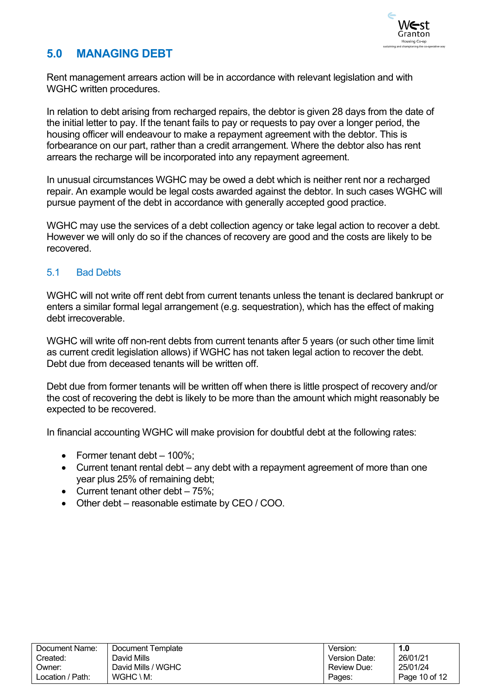

### <span id="page-9-0"></span>**5.0 MANAGING DEBT**

Rent management arrears action will be in accordance with relevant legislation and with WGHC written procedures.

In relation to debt arising from recharged repairs, the debtor is given 28 days from the date of the initial letter to pay. If the tenant fails to pay or requests to pay over a longer period, the housing officer will endeavour to make a repayment agreement with the debtor. This is forbearance on our part, rather than a credit arrangement. Where the debtor also has rent arrears the recharge will be incorporated into any repayment agreement.

In unusual circumstances WGHC may be owed a debt which is neither rent nor a recharged repair. An example would be legal costs awarded against the debtor. In such cases WGHC will pursue payment of the debt in accordance with generally accepted good practice.

WGHC may use the services of a debt collection agency or take legal action to recover a debt. However we will only do so if the chances of recovery are good and the costs are likely to be recovered.

#### <span id="page-9-1"></span>5.1 Bad Debts

WGHC will not write off rent debt from current tenants unless the tenant is declared bankrupt or enters a similar formal legal arrangement (e.g. sequestration), which has the effect of making debt irrecoverable.

WGHC will write off non-rent debts from current tenants after 5 years (or such other time limit as current credit legislation allows) if WGHC has not taken legal action to recover the debt. Debt due from deceased tenants will be written off.

Debt due from former tenants will be written off when there is little prospect of recovery and/or the cost of recovering the debt is likely to be more than the amount which might reasonably be expected to be recovered.

In financial accounting WGHC will make provision for doubtful debt at the following rates:

- Former tenant debt 100%;
- Current tenant rental debt any debt with a repayment agreement of more than one year plus 25% of remaining debt;
- Current tenant other debt  $-75%$ ;
- Other debt reasonable estimate by CEO / COO.

| Document Name:   | Document Template    | Version:      | 1.0           |
|------------------|----------------------|---------------|---------------|
| Created:         | David Mills          | Version Date: | 26/01/21      |
| Owner:           | David Mills / WGHC   | Review Due:   | 25/01/24      |
| Location / Path: | $WGHC \setminus M$ : | Pages:        | Page 10 of 12 |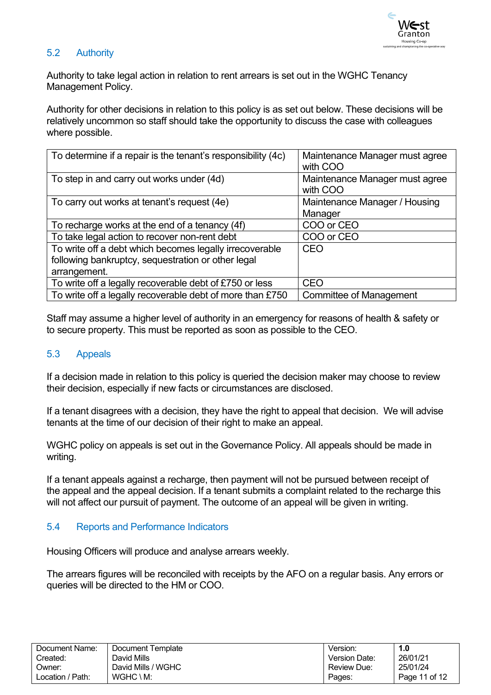

#### <span id="page-10-0"></span>5.2 Authority

Authority to take legal action in relation to rent arrears is set out in the WGHC Tenancy Management Policy.

Authority for other decisions in relation to this policy is as set out below. These decisions will be relatively uncommon so staff should take the opportunity to discuss the case with colleagues where possible.

| To determine if a repair is the tenant's responsibility (4c)                                                                  | Maintenance Manager must agree<br>with COO |
|-------------------------------------------------------------------------------------------------------------------------------|--------------------------------------------|
| To step in and carry out works under (4d)                                                                                     | Maintenance Manager must agree<br>with COO |
| To carry out works at tenant's request (4e)                                                                                   | Maintenance Manager / Housing<br>Manager   |
| To recharge works at the end of a tenancy (4f)                                                                                | COO or CEO                                 |
| To take legal action to recover non-rent debt                                                                                 | COO or CEO                                 |
| To write off a debt which becomes legally irrecoverable<br>following bankruptcy, sequestration or other legal<br>arrangement. | CEO                                        |
| To write off a legally recoverable debt of £750 or less                                                                       | <b>CEO</b>                                 |
| To write off a legally recoverable debt of more than £750                                                                     | Committee of Management                    |

Staff may assume a higher level of authority in an emergency for reasons of health & safety or to secure property. This must be reported as soon as possible to the CEO.

#### <span id="page-10-1"></span>5.3 Appeals

If a decision made in relation to this policy is queried the decision maker may choose to review their decision, especially if new facts or circumstances are disclosed.

If a tenant disagrees with a decision, they have the right to appeal that decision. We will advise tenants at the time of our decision of their right to make an appeal.

WGHC policy on appeals is set out in the Governance Policy. All appeals should be made in writing.

If a tenant appeals against a recharge, then payment will not be pursued between receipt of the appeal and the appeal decision. If a tenant submits a complaint related to the recharge this will not affect our pursuit of payment. The outcome of an appeal will be given in writing.

#### <span id="page-10-2"></span>5.4 Reports and Performance Indicators

Housing Officers will produce and analyse arrears weekly.

The arrears figures will be reconciled with receipts by the AFO on a regular basis. Any errors or queries will be directed to the HM or COO.

| Document Name:   | Document Template    | Version.           | 1.0           |
|------------------|----------------------|--------------------|---------------|
| Created:         | David Mills          | Version Date:      | 26/01/21      |
| Owner:           | David Mills / WGHC   | <b>Review Due:</b> | 25/01/24      |
| Location / Path: | $WGHC \setminus M$ : | Pages:             | Page 11 of 12 |